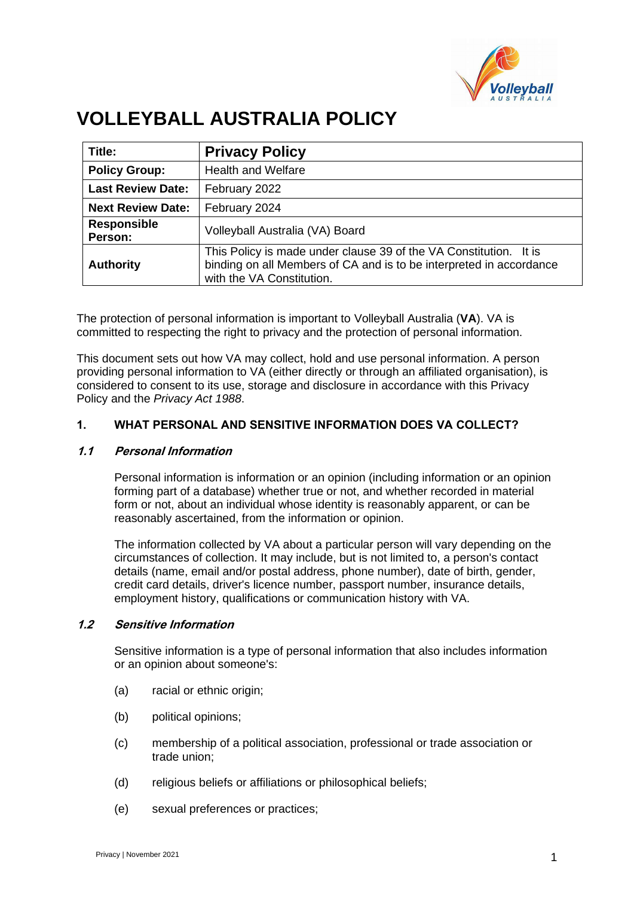

# **VOLLEYBALL AUSTRALIA POLICY**

| Title:                        | <b>Privacy Policy</b>                                                                                                                                                 |
|-------------------------------|-----------------------------------------------------------------------------------------------------------------------------------------------------------------------|
| <b>Policy Group:</b>          | <b>Health and Welfare</b>                                                                                                                                             |
| <b>Last Review Date:</b>      | February 2022                                                                                                                                                         |
| <b>Next Review Date:</b>      | February 2024                                                                                                                                                         |
| <b>Responsible</b><br>Person: | Volleyball Australia (VA) Board                                                                                                                                       |
| <b>Authority</b>              | This Policy is made under clause 39 of the VA Constitution. It is<br>binding on all Members of CA and is to be interpreted in accordance<br>with the VA Constitution. |

The protection of personal information is important to Volleyball Australia (**VA**). VA is committed to respecting the right to privacy and the protection of personal information.

This document sets out how VA may collect, hold and use personal information. A person providing personal information to VA (either directly or through an affiliated organisation), is considered to consent to its use, storage and disclosure in accordance with this Privacy Policy and the *Privacy Act 1988*.

## **1. WHAT PERSONAL AND SENSITIVE INFORMATION DOES VA COLLECT?**

### **1.1 Personal Information**

Personal information is information or an opinion (including information or an opinion forming part of a database) whether true or not, and whether recorded in material form or not, about an individual whose identity is reasonably apparent, or can be reasonably ascertained, from the information or opinion.

The information collected by VA about a particular person will vary depending on the circumstances of collection. It may include, but is not limited to, a person's contact details (name, email and/or postal address, phone number), date of birth, gender, credit card details, driver's licence number, passport number, insurance details, employment history, qualifications or communication history with VA.

### **1.2 Sensitive Information**

Sensitive information is a type of personal information that also includes information or an opinion about someone's:

- (a) racial or ethnic origin;
- (b) political opinions;
- (c) membership of a political association, professional or trade association or trade union;
- (d) religious beliefs or affiliations or philosophical beliefs;
- (e) sexual preferences or practices;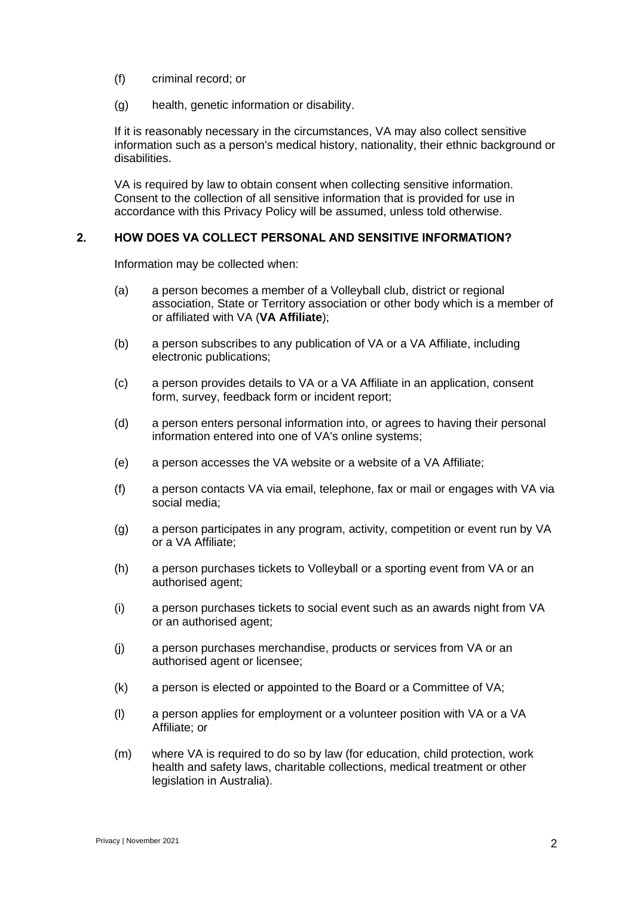- (f) criminal record; or
- (g) health, genetic information or disability.

If it is reasonably necessary in the circumstances, VA may also collect sensitive information such as a person's medical history, nationality, their ethnic background or disabilities.

VA is required by law to obtain consent when collecting sensitive information. Consent to the collection of all sensitive information that is provided for use in accordance with this Privacy Policy will be assumed, unless told otherwise.

### **2. HOW DOES VA COLLECT PERSONAL AND SENSITIVE INFORMATION?**

Information may be collected when:

- (a) a person becomes a member of a Volleyball club, district or regional association, State or Territory association or other body which is a member of or affiliated with VA (**VA Affiliate**);
- (b) a person subscribes to any publication of VA or a VA Affiliate, including electronic publications;
- (c) a person provides details to VA or a VA Affiliate in an application, consent form, survey, feedback form or incident report;
- (d) a person enters personal information into, or agrees to having their personal information entered into one of VA's online systems;
- (e) a person accesses the VA website or a website of a VA Affiliate;
- (f) a person contacts VA via email, telephone, fax or mail or engages with VA via social media;
- (g) a person participates in any program, activity, competition or event run by VA or a VA Affiliate;
- (h) a person purchases tickets to Volleyball or a sporting event from VA or an authorised agent;
- (i) a person purchases tickets to social event such as an awards night from VA or an authorised agent;
- (j) a person purchases merchandise, products or services from VA or an authorised agent or licensee;
- (k) a person is elected or appointed to the Board or a Committee of VA;
- (l) a person applies for employment or a volunteer position with VA or a VA Affiliate; or
- (m) where VA is required to do so by law (for education, child protection, work health and safety laws, charitable collections, medical treatment or other legislation in Australia).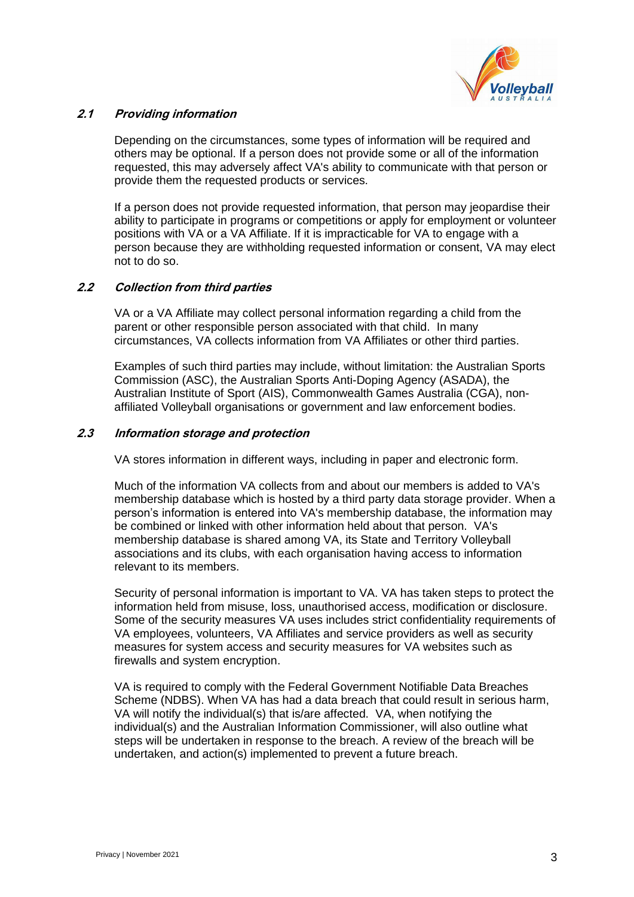

## **2.1 Providing information**

Depending on the circumstances, some types of information will be required and others may be optional. If a person does not provide some or all of the information requested, this may adversely affect VA's ability to communicate with that person or provide them the requested products or services.

If a person does not provide requested information, that person may jeopardise their ability to participate in programs or competitions or apply for employment or volunteer positions with VA or a VA Affiliate. If it is impracticable for VA to engage with a person because they are withholding requested information or consent, VA may elect not to do so.

# **2.2 Collection from third parties**

VA or a VA Affiliate may collect personal information regarding a child from the parent or other responsible person associated with that child. In many circumstances, VA collects information from VA Affiliates or other third parties.

Examples of such third parties may include, without limitation: the Australian Sports Commission (ASC), the Australian Sports Anti-Doping Agency (ASADA), the Australian Institute of Sport (AIS), Commonwealth Games Australia (CGA), nonaffiliated Volleyball organisations or government and law enforcement bodies.

## **2.3 Information storage and protection**

VA stores information in different ways, including in paper and electronic form.

Much of the information VA collects from and about our members is added to VA's membership database which is hosted by a third party data storage provider. When a person's information is entered into VA's membership database, the information may be combined or linked with other information held about that person. VA's membership database is shared among VA, its State and Territory Volleyball associations and its clubs, with each organisation having access to information relevant to its members.

Security of personal information is important to VA. VA has taken steps to protect the information held from misuse, loss, unauthorised access, modification or disclosure. Some of the security measures VA uses includes strict confidentiality requirements of VA employees, volunteers, VA Affiliates and service providers as well as security measures for system access and security measures for VA websites such as firewalls and system encryption.

VA is required to comply with the Federal Government Notifiable Data Breaches Scheme (NDBS). When VA has had a data breach that could result in serious harm, VA will notify the individual(s) that is/are affected. VA, when notifying the individual(s) and the Australian Information Commissioner, will also outline what steps will be undertaken in response to the breach. A review of the breach will be undertaken, and action(s) implemented to prevent a future breach.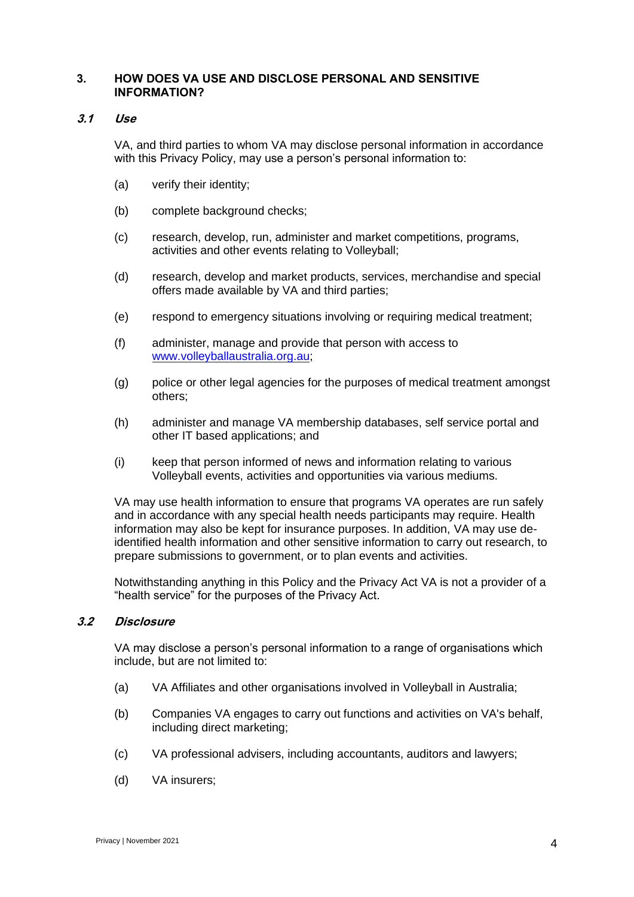## **3. HOW DOES VA USE AND DISCLOSE PERSONAL AND SENSITIVE INFORMATION?**

### **3.1 Use**

VA, and third parties to whom VA may disclose personal information in accordance with this Privacy Policy, may use a person's personal information to:

- (a) verify their identity;
- (b) complete background checks;
- (c) research, develop, run, administer and market competitions, programs, activities and other events relating to Volleyball;
- (d) research, develop and market products, services, merchandise and special offers made available by VA and third parties;
- (e) respond to emergency situations involving or requiring medical treatment;
- (f) administer, manage and provide that person with access to [www.volleyballaustralia.org.au;](http://www.volleyballaustralia.org.au/)
- (g) police or other legal agencies for the purposes of medical treatment amongst others;
- (h) administer and manage VA membership databases, self service portal and other IT based applications; and
- (i) keep that person informed of news and information relating to various Volleyball events, activities and opportunities via various mediums.

VA may use health information to ensure that programs VA operates are run safely and in accordance with any special health needs participants may require. Health information may also be kept for insurance purposes. In addition, VA may use deidentified health information and other sensitive information to carry out research, to prepare submissions to government, or to plan events and activities.

Notwithstanding anything in this Policy and the Privacy Act VA is not a provider of a "health service" for the purposes of the Privacy Act.

#### **3.2 Disclosure**

VA may disclose a person's personal information to a range of organisations which include, but are not limited to:

- (a) VA Affiliates and other organisations involved in Volleyball in Australia;
- (b) Companies VA [engages to carry out functions and activities on VA's behalf,](#page-4-0)  [including direct marketing;](#page-4-0)
- (c) VA professional advisers, including accountants, auditors and lawyers;
- (d) VA insurers;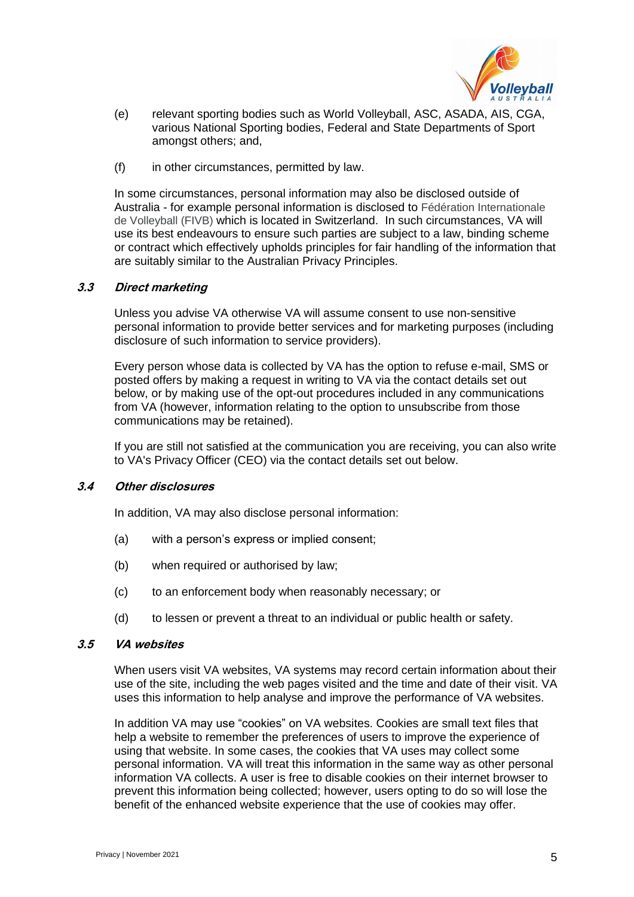

- (e) relevant sporting bodies such as World Volleyball, ASC, ASADA, AIS, CGA, various National Sporting bodies, Federal and State Departments of Sport amongst others; and,
- (f) [in other circumstances, permitted by law.](#page-4-0)

In some circumstances, personal information may also be disclosed outside of Australia - for example personal information is disclosed to Fédération Internationale de Volleyball (FIVB) which is located in Switzerland. In such circumstances, VA will use its best endeavours to ensure such parties are subject to a law, binding scheme or contract which effectively upholds principles for fair handling of the information that are suitably similar to the Australian Privacy Principles.

### <span id="page-4-0"></span>**3.3 Direct marketing**

Unless you advise VA otherwise VA will assume consent to use non-sensitive personal information to provide better services and for marketing purposes (including disclosure of such information to service providers).

Every person whose data is collected by VA has the option to refuse e-mail, SMS or posted offers by making a request in writing to VA via the contact details set out below, or by making use of the opt-out procedures included in any communications from VA (however, information relating to the option to unsubscribe from those communications may be retained).

If you are still not satisfied at the communication you are receiving, you can also write to VA's Privacy Officer (CEO) via the contact details set out below.

#### **3.4 Other disclosures**

In addition, VA may also disclose personal information:

- (a) with a person's express or implied consent;
- (b) when required or authorised by law;
- (c) to an enforcement body when reasonably necessary; or
- (d) to lessen or prevent a threat to an individual or public health or safety.

#### **3.5 VA websites**

When users visit VA websites, VA systems may record certain information about their use of the site, including the web pages visited and the time and date of their visit. VA uses this information to help analyse and improve the performance of VA websites.

In addition VA may use "cookies" on VA websites. Cookies are small text files that help a website to remember the preferences of users to improve the experience of using that website. In some cases, the cookies that VA uses may collect some personal information. VA will treat this information in the same way as other personal information VA collects. A user is free to disable cookies on their internet browser to prevent this information being collected; however, users opting to do so will lose the benefit of the enhanced website experience that the use of cookies may offer.